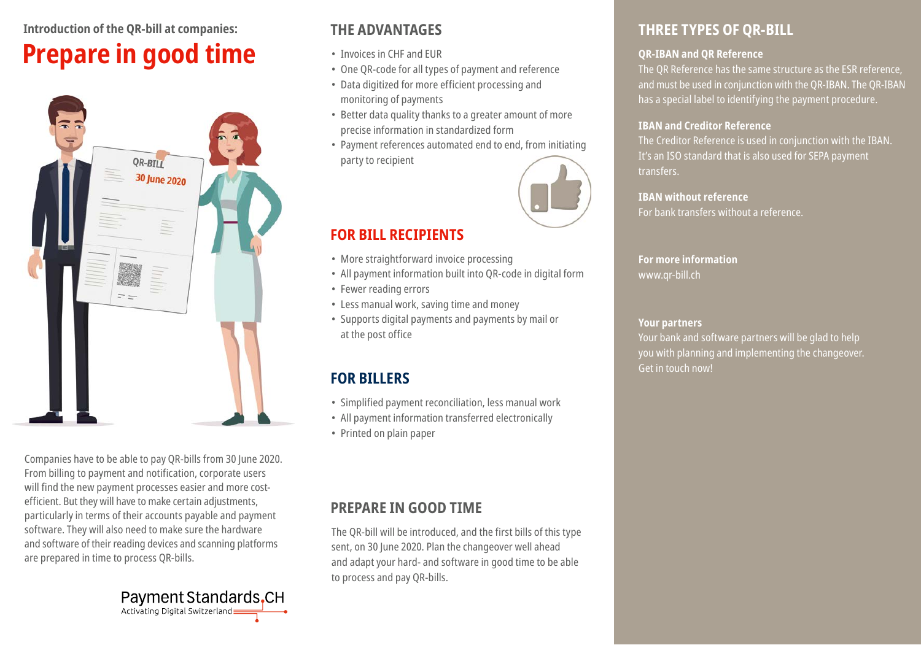# **Introduction of the QR-bill at companies: Prepare in good time**



Companies have to be able to pay QR-bills from 30 June 2020. From billing to payment and notification, corporate users will find the new payment processes easier and more costefficient. But they will have to make certain adjustments, particularly in terms of their accounts payable and payment software. They will also need to make sure the hardware and software of their reading devices and scanning platforms are prepared in time to process QR-bills.



## **THE ADVANTAGES**

- Invoices in CHF and EUR
- One QR-code for all types of payment and reference
- Data digitized for more efficient processing and monitoring of payments
- Better data quality thanks to a greater amount of more precise information in standardized form
- Payment references automated end to end, from initiating party to recipient



## **FOR BILL RECIPIENTS**

- More straightforward invoice processing
- All payment information built into QR-code in digital form
- Fewer reading errors
- Less manual work, saving time and money
- Supports digital payments and payments by mail or at the post office

## **FOR BILLERS**

- Simplified payment reconciliation, less manual work
- All payment information transferred electronically
- Printed on plain paper

### **PREPARE IN GOOD TIME**

The QR-bill will be introduced, and the first bills of this type sent, on 30 June 2020. Plan the changeover well ahead and adapt your hard- and software in good time to be able to process and pay QR-bills.

## **THREE TYPES OF QR-BILL**

### **QR-IBAN and QR Reference**

The QR Reference has the same structure as the ESR reference, and must be used in conjunction with the QR-IBAN. The QR-IBAN has a special label to identifying the payment procedure.

### **IBAN and Creditor Reference**

The Creditor Reference is used in conjunction with the IBAN. It's an ISO standard that is also used for SEPA payment transfers.

#### **IBAN without reference** For bank transfers without a reference.

**For more information** www.qr-bill.ch

### **Your partners**

Your bank and software partners will be glad to help you with planning and implementing the changeover. Get in touch now!